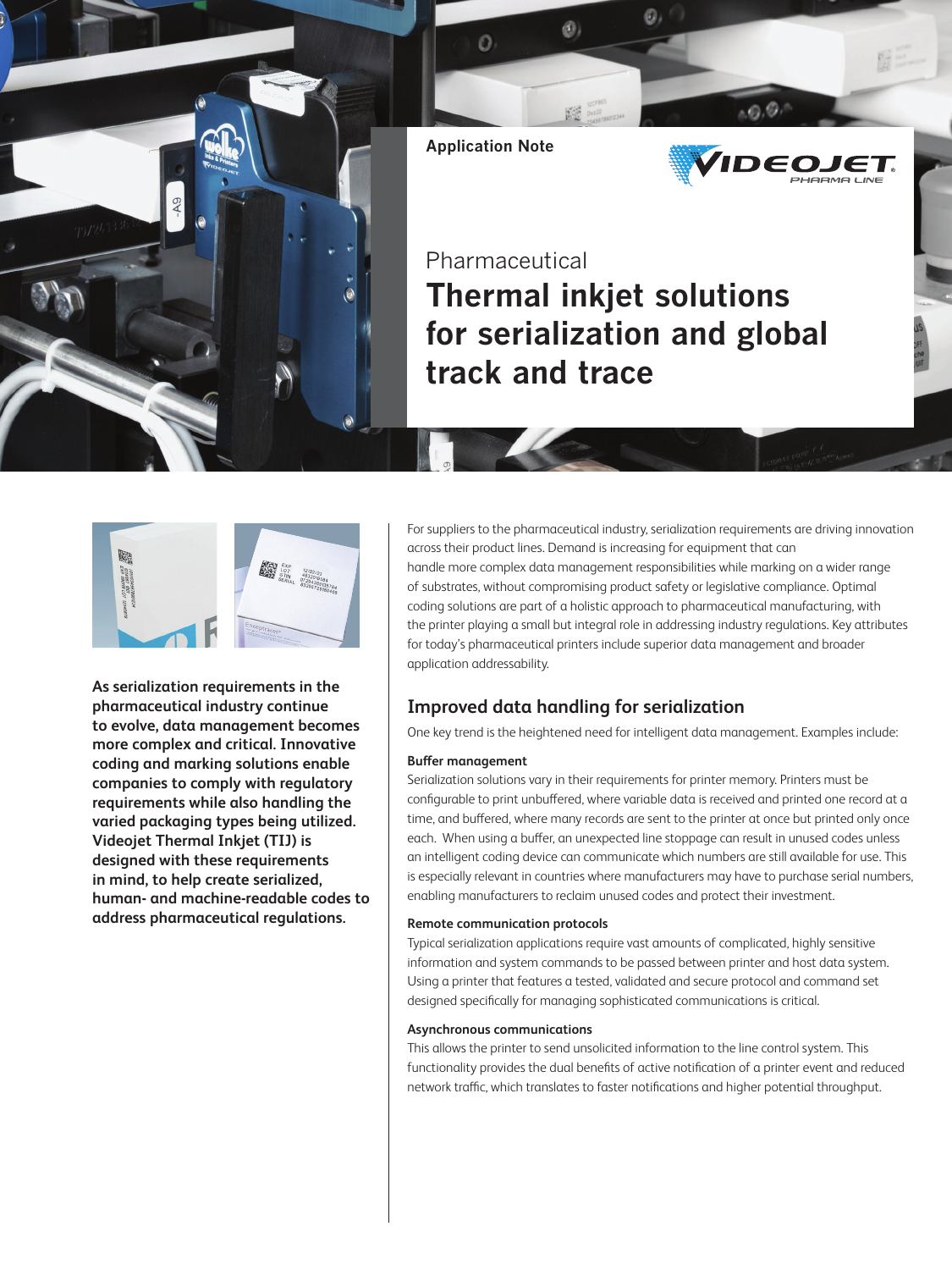



**As serialization requirements in the pharmaceutical industry continue to evolve, data management becomes more complex and critical. Innovative coding and marking solutions enable companies to comply with regulatory requirements while also handling the varied packaging types being utilized. Videojet Thermal Inkjet (TIJ) is designed with these requirements in mind, to help create serialized, human- and machine-readable codes to address pharmaceutical regulations.** 

For suppliers to the pharmaceutical industry, serialization requirements are driving innovation across their product lines. Demand is increasing for equipment that can handle more complex data management responsibilities while marking on a wider range of substrates, without compromising product safety or legislative compliance. Optimal coding solutions are part of a holistic approach to pharmaceutical manufacturing, with the printer playing a small but integral role in addressing industry regulations. Key attributes for today's pharmaceutical printers include superior data management and broader application addressability.

# **Improved data handling for serialization**

One key trend is the heightened need for intelligent data management. Examples include:

## **Buffer management**

Serialization solutions vary in their requirements for printer memory. Printers must be configurable to print unbuffered, where variable data is received and printed one record at a time, and buffered, where many records are sent to the printer at once but printed only once each. When using a buffer, an unexpected line stoppage can result in unused codes unless an intelligent coding device can communicate which numbers are still available for use. This is especially relevant in countries where manufacturers may have to purchase serial numbers, enabling manufacturers to reclaim unused codes and protect their investment.

## **Remote communication protocols**

Typical serialization applications require vast amounts of complicated, highly sensitive information and system commands to be passed between printer and host data system. Using a printer that features a tested, validated and secure protocol and command set designed specifically for managing sophisticated communications is critical.

## **Asynchronous communications**

This allows the printer to send unsolicited information to the line control system. This functionality provides the dual benefits of active notification of a printer event and reduced network traffic, which translates to faster notifications and higher potential throughput.